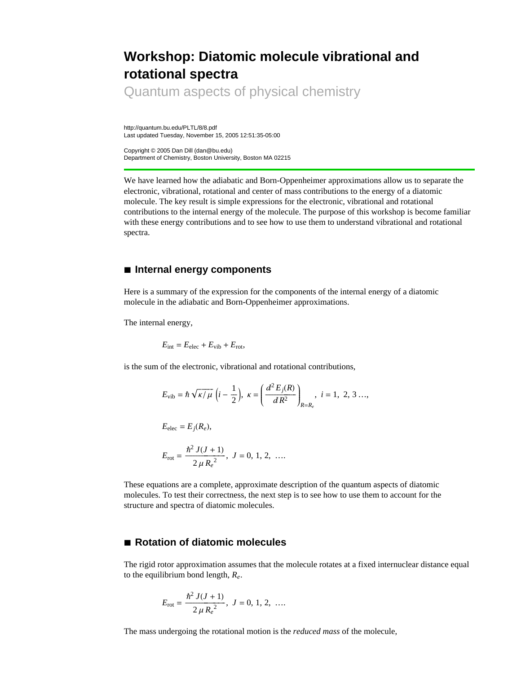## **Workshop: Diatomic molecule vibrational and rotational spectra**

Quantum aspects of physical chemistry

http://quantum.bu.edu/PLTL/8/8.pdf Last updated Tuesday, November 15, 2005 12:51:35-05:00

Copyright © 2005 Dan Dill (dan@bu.edu) Department of Chemistry, Boston University, Boston MA 02215

We have learned how the adiabatic and Born-Oppenheimer approximations allow us to separate the electronic, vibrational, rotational and center of mass contributions to the energy of a diatomic molecule. The key result is simple expressions for the electronic, vibrational and rotational contributions to the internal energy of the molecule. The purpose of this workshop is become familiar with these energy contributions and to see how to use them to understand vibrational and rotational spectra.

## **à Internal energy components**

Here is a summary of the expression for the components of the internal energy of a diatomic molecule in the adiabatic and Born-Oppenheimer approximations.

The internal energy,

$$
E_{\text{int}} = E_{\text{elec}} + E_{\text{vib}} + E_{\text{rot}},
$$

is the sum of the electronic, vibrational and rotational contributions,

$$
E_{\text{vib}} = \hbar \sqrt{\kappa / \mu} \left( i - \frac{1}{2} \right), \ \kappa = \left( \frac{d^2 E_j(R)}{d R^2} \right)_{R = R_e}, \ i = 1, \ 2, \ 3 \ldots,
$$

 $E_{\text{elec}} = E_i(R_e)$ ,

$$
E_{\rm rot} = \frac{\hbar^2 J(J+1)}{2 \mu R_e^2}, J = 0, 1, 2, \ldots
$$

These equations are a complete, approximate description of the quantum aspects of diatomic molecules. To test their correctness, the next step is to see how to use them to account for the structure and spectra of diatomic molecules.

## **à Rotation of diatomic molecules**

The rigid rotor approximation assumes that the molecule rotates at a fixed internuclear distance equal to the equilibrium bond length, *Re*.

$$
E_{\rm rot} = \frac{\hbar^2 J(J+1)}{2 \mu R_e^2}, J = 0, 1, 2, \ldots
$$

The mass undergoing the rotational motion is the *reduced mass* of the molecule,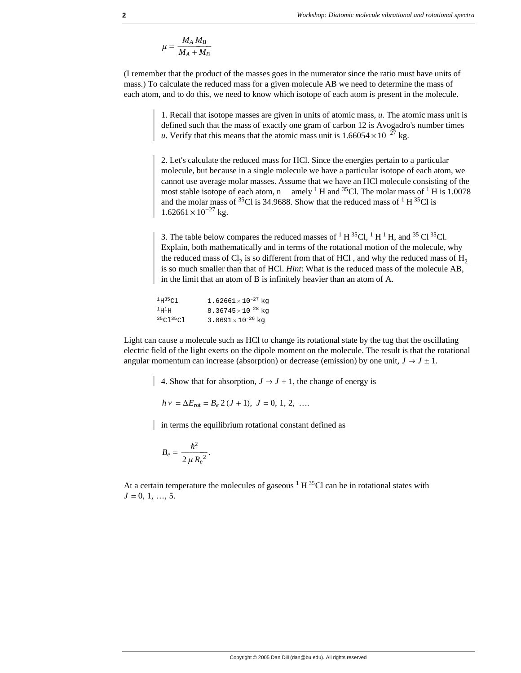$$
\mu = \frac{M_A M_B}{M_A + M_B}
$$

(I remember that the product of the masses goes in the numerator since the ratio must have units of mass.) To calculate the reduced mass for a given molecule AB we need to determine the mass of each atom, and to do this, we need to know which isotope of each atom is present in the molecule.

> 1. Recall that isotope masses are given in units of atomic mass, *u*. The atomic mass unit is defined such that the mass of exactly one gram of carbon 12 is Avogadro's number times *u*. Verify that this means that the atomic mass unit is  $1.66054 \times 10^{-27}$  kg.

> 2. Let's calculate the reduced mass for HCl. Since the energies pertain to a particular molecule, but because in a single molecule we have a particular isotope of each atom, we cannot use average molar masses. Assume that we have an HCl molecule consisting of the most stable isotope of each atom, n amely  $1$  H and  $35$ Cl. The molar mass of  $1$  H is 1.0078 and the molar mass of <sup>35</sup>Cl is 34.9688. Show that the reduced mass of <sup>1</sup> H <sup>35</sup>Cl is  $1.62661 \times 10^{-27}$  kg.

> 3. The table below compares the reduced masses of  ${}^{1}H^{35}Cl$ ,  ${}^{1}H^{1}H$ , and  ${}^{35}Cl^{35}Cl$ . Explain, both mathematically and in terms of the rotational motion of the molecule, why the reduced mass of Cl<sub>2</sub> is so different from that of HCl , and why the reduced mass of H<sub>2</sub> is so much smaller than that of HCl. *Hint*: What is the reduced mass of the molecule AB, in the limit that an atom of B is infinitely heavier than an atom of A.

| $1H^{35}$ Cl               | $1.62661\times10^{-27}$ kg            |
|----------------------------|---------------------------------------|
| $^1\mathrm{H}^1\mathrm{H}$ | 8.36745 $\times$ 10 <sup>-28</sup> kg |
| 35C135C1                   | 3.0691 $\times$ 10 <sup>-26</sup> kg  |

Light can cause a molecule such as HCl to change its rotational state by the tug that the oscillating electric field of the light exerts on the dipole moment on the molecule. The result is that the rotational angular momentum can increase (absorption) or decrease (emission) by one unit,  $J \rightarrow J \pm 1$ .

4. Show that for absorption,  $J \rightarrow J + 1$ , the change of energy is

$$
h v = \Delta E_{\text{rot}} = B_e 2 (J + 1), J = 0, 1, 2, ...
$$

in terms the equilibrium rotational constant defined as

$$
B_e = \frac{\hbar^2}{2 \mu R_e^2}.
$$

At a certain temperature the molecules of gaseous  $1 H^{35}Cl$  can be in rotational states with  $J = 0, 1, ..., 5$ .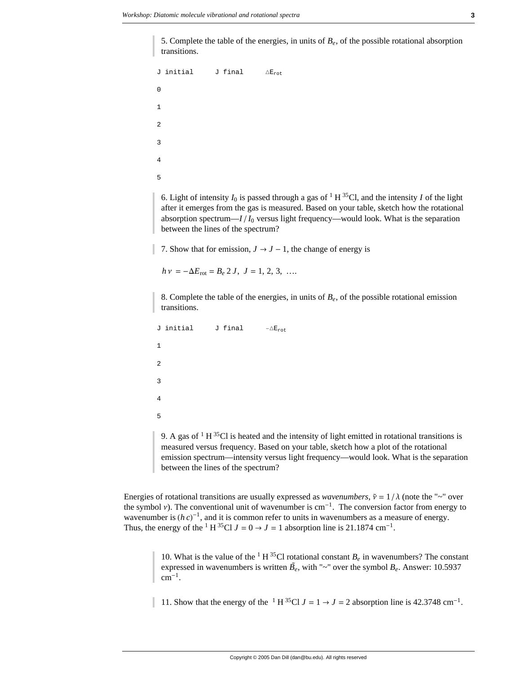5. Complete the table of the energies, in units of  $B<sub>e</sub>$ , of the possible rotational absorption transitions.

```
J initial J final ∆Erot
0
1
2
3
4
5
```
6. Light of intensity  $I_0$  is passed through a gas of <sup>1</sup> H<sup>35</sup>Cl, and the intensity *I* of the light after it emerges from the gas is measured. Based on your table, sketch how the rotational absorption spectrum— $I/I_0$  versus light frequency—would look. What is the separation between the lines of the spectrum?

7. Show that for emission,  $J \rightarrow J - 1$ , the change of energy is

 $h v = -\Delta E_{\text{rot}} = B_e 2 J, J = 1, 2, 3, ...$ 

8. Complete the table of the energies, in units of  $B_e$ , of the possible rotational emission transitions.

```
J initial J final -\Delta E_{rot}1
\overline{2}3
4
5
```
9. A gas of  $1 H^{35}Cl$  is heated and the intensity of light emitted in rotational transitions is measured versus frequency. Based on your table, sketch how a plot of the rotational emission spectrum—intensity versus light frequency—would look. What is the separation between the lines of the spectrum?

Energies of rotational transitions are usually expressed as *wavenumbers*,  $\tilde{v} = 1/\lambda$  (note the "~" over the symbol v). The conventional unit of wavenumber is  $cm^{-1}$ . The conversion factor from energy to wavenumber is  $(h c)^{-1}$ , and it is common refer to units in wavenumbers as a measure of energy. Thus, the energy of the <sup>1</sup> H <sup>35</sup>Cl  $J = 0 \rightarrow J = 1$  absorption line is 21.1874 cm<sup>-1</sup>.

> 10. What is the value of the <sup>1</sup> H<sup>35</sup>Cl rotational constant  $B_e$  in wavenumbers? The constant For what is the value of the TT errotational constant  $B_e$  in wavenumbers? The constant expressed in wavenumbers is written  $\tilde{B}_e$ , with "~" over the symbol  $B_e$ . Answer: 10.5937  $cm^{-1}$ .

11. Show that the energy of the <sup>1</sup> H<sup>35</sup>Cl  $J = 1 \rightarrow J = 2$  absorption line is 42.3748 cm<sup>-1</sup>.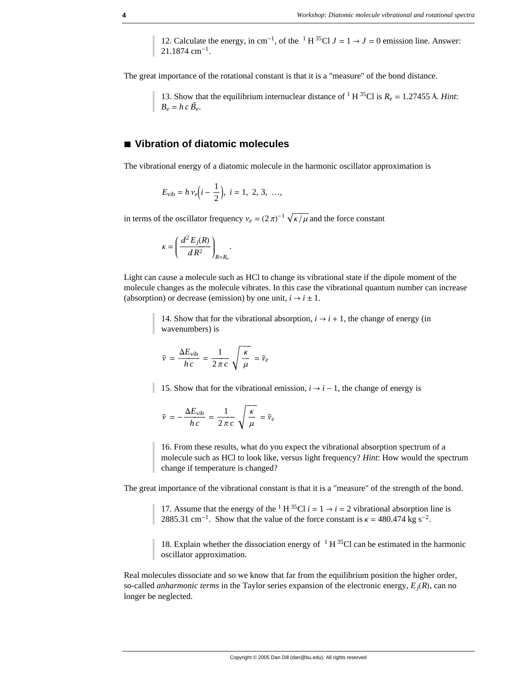12. Calculate the energy, in cm<sup>-1</sup>, of the <sup>1</sup> H<sup>35</sup>Cl  $J = 1 \rightarrow J = 0$  emission line. Answer: 21.1874 cm-1.

The great importance of the rotational constant is that it is a "measure" of the bond distance.

13. Show that the equilibrium internuclear distance of <sup>1</sup> H<sup>35</sup>Cl is  $R_e = 1.27455$  Å. *Hint*:  $B_e = h c \tilde{B_e}.$ 

## **à Vibration of diatomic molecules**

The vibrational energy of a diatomic molecule in the harmonic oscillator approximation is

$$
E_{\rm vib} = h \, \nu_e \Big( i - \frac{1}{2} \Big), \, \, i = 1, \, \, 2, \, 3, \, \, \ldots,
$$

in terms of the oscillator frequency  $v_e = (2 \pi)^{-1} \sqrt{\frac{\kappa}{\mu}}$  and the force constant

$$
\kappa = \left(\frac{d^2 E_j(R)}{d R^2}\right)_{R=R_c}.
$$

Light can cause a molecule such as HCl to change its vibrational state if the dipole moment of the molecule changes as the molecule vibrates. In this case the vibrational quantum number can increase (absorption) or decrease (emission) by one unit,  $i \rightarrow i \pm 1$ .

> 14. Show that for the vibrational absorption,  $i \rightarrow i + 1$ , the change of energy (in wavenumbers) is

$$
\tilde{v} = \frac{\Delta E_{\text{vib}}}{h \, c} = \frac{1}{2 \pi \, c} \sqrt{\frac{\kappa}{\mu}} = \tilde{v}_e
$$

15. Show that for the vibrational emission,  $i \rightarrow i - 1$ , the change of energy is

$$
\tilde{\nu} = -\frac{\Delta E_{\text{vib}}}{h \, c} = \frac{1}{2 \pi \, c} \sqrt{\frac{\kappa}{\mu}} = \tilde{\nu}_e
$$

16. From these results, what do you expect the vibrational absorption spectrum of a molecule such as HCl to look like, versus light frequency? *Hint*: How would the spectrum change if temperature is changed?

The great importance of the vibrational constant is that it is a "measure" of the strength of the bond.

17. Assume that the energy of the <sup>1</sup> H<sup>35</sup>Cl  $i = 1 \rightarrow i = 2$  vibrational absorption line is 2885.31 cm<sup>-1</sup>. Show that the value of the force constant is  $\kappa = 480.474 \text{ kg s}^{-2}$ .

18. Explain whether the dissociation energy of  $1 H^{35}Cl$  can be estimated in the harmonic oscillator approximation.

Real molecules dissociate and so we know that far from the equilibrium position the higher order, so-called *anharmonic terms* in the Taylor series expansion of the electronic energy,  $E_i(R)$ , can no longer be neglected.